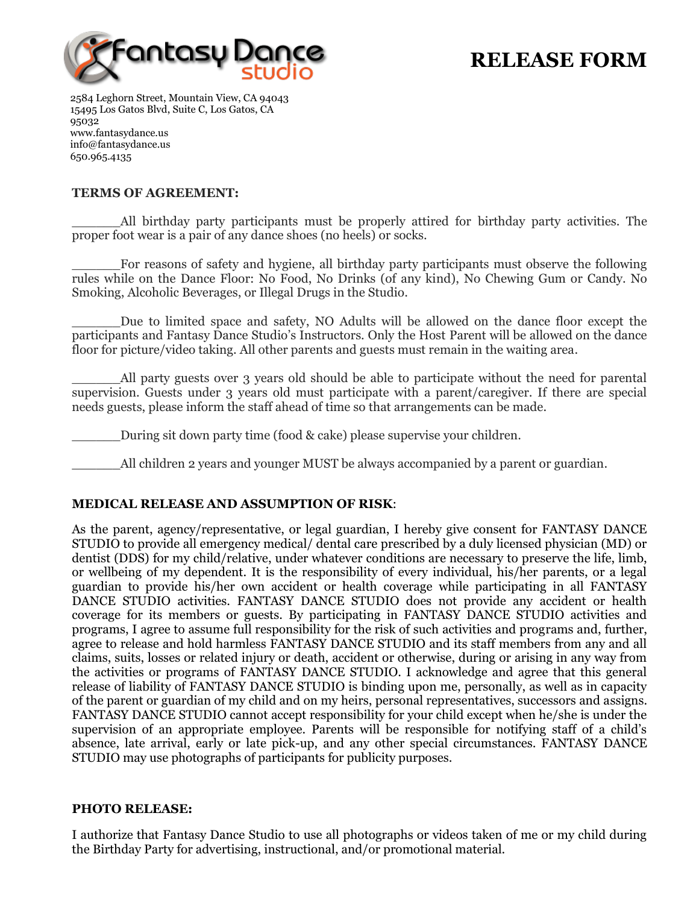

# **RELEASE FORM**

2584 Leghorn Street, Mountain View, CA 94043 15495 Los Gatos Blvd, Suite C, Los Gatos, CA 95032 www.fantasydance.us info@fantasydance.us 650.965.4135

### **TERMS OF AGREEMENT:**

\_\_\_\_\_\_All birthday party participants must be properly attired for birthday party activities. The proper foot wear is a pair of any dance shoes (no heels) or socks.

For reasons of safety and hygiene, all birthday party participants must observe the following rules while on the Dance Floor: No Food, No Drinks (of any kind), No Chewing Gum or Candy. No Smoking, Alcoholic Beverages, or Illegal Drugs in the Studio.

Due to limited space and safety, NO Adults will be allowed on the dance floor except the participants and Fantasy Dance Studio's Instructors. Only the Host Parent will be allowed on the dance floor for picture/video taking. All other parents and guests must remain in the waiting area.

All party guests over 3 years old should be able to participate without the need for parental supervision. Guests under 3 years old must participate with a parent/caregiver. If there are special needs guests, please inform the staff ahead of time so that arrangements can be made.

\_\_\_\_\_\_During sit down party time (food & cake) please supervise your children.

\_\_\_\_\_\_All children 2 years and younger MUST be always accompanied by a parent or guardian.

#### **MEDICAL RELEASE AND ASSUMPTION OF RISK**:

As the parent, agency/representative, or legal guardian, I hereby give consent for FANTASY DANCE STUDIO to provide all emergency medical/ dental care prescribed by a duly licensed physician (MD) or dentist (DDS) for my child/relative, under whatever conditions are necessary to preserve the life, limb, or wellbeing of my dependent. It is the responsibility of every individual, his/her parents, or a legal guardian to provide his/her own accident or health coverage while participating in all FANTASY DANCE STUDIO activities. FANTASY DANCE STUDIO does not provide any accident or health coverage for its members or guests. By participating in FANTASY DANCE STUDIO activities and programs, I agree to assume full responsibility for the risk of such activities and programs and, further, agree to release and hold harmless FANTASY DANCE STUDIO and its staff members from any and all claims, suits, losses or related injury or death, accident or otherwise, during or arising in any way from the activities or programs of FANTASY DANCE STUDIO. I acknowledge and agree that this general release of liability of FANTASY DANCE STUDIO is binding upon me, personally, as well as in capacity of the parent or guardian of my child and on my heirs, personal representatives, successors and assigns. FANTASY DANCE STUDIO cannot accept responsibility for your child except when he/she is under the supervision of an appropriate employee. Parents will be responsible for notifying staff of a child's absence, late arrival, early or late pick-up, and any other special circumstances. FANTASY DANCE STUDIO may use photographs of participants for publicity purposes.

#### **PHOTO RELEASE:**

I authorize that Fantasy Dance Studio to use all photographs or videos taken of me or my child during the Birthday Party for advertising, instructional, and/or promotional material.